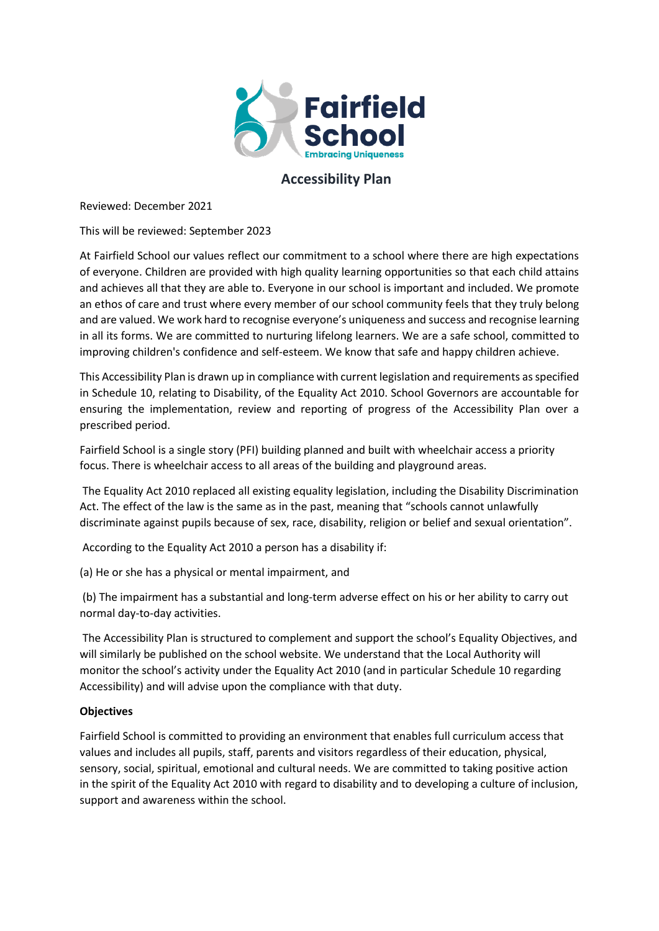

### **Accessibility Plan**

Reviewed: December 2021

This will be reviewed: September 2023

At Fairfield School our values reflect our commitment to a school where there are high expectations of everyone. Children are provided with high quality learning opportunities so that each child attains and achieves all that they are able to. Everyone in our school is important and included. We promote an ethos of care and trust where every member of our school community feels that they truly belong and are valued. We work hard to recognise everyone's uniqueness and success and recognise learning in all its forms. We are committed to nurturing lifelong learners. We are a safe school, committed to improving children's confidence and self-esteem. We know that safe and happy children achieve.

This Accessibility Plan is drawn up in compliance with current legislation and requirements as specified in Schedule 10, relating to Disability, of the Equality Act 2010. School Governors are accountable for ensuring the implementation, review and reporting of progress of the Accessibility Plan over a prescribed period.

Fairfield School is a single story (PFI) building planned and built with wheelchair access a priority focus. There is wheelchair access to all areas of the building and playground areas.

The Equality Act 2010 replaced all existing equality legislation, including the Disability Discrimination Act. The effect of the law is the same as in the past, meaning that "schools cannot unlawfully discriminate against pupils because of sex, race, disability, religion or belief and sexual orientation".

According to the Equality Act 2010 a person has a disability if:

(a) He or she has a physical or mental impairment, and

(b) The impairment has a substantial and long-term adverse effect on his or her ability to carry out normal day-to-day activities.

The Accessibility Plan is structured to complement and support the school's Equality Objectives, and will similarly be published on the school website. We understand that the Local Authority will monitor the school's activity under the Equality Act 2010 (and in particular Schedule 10 regarding Accessibility) and will advise upon the compliance with that duty.

### **Objectives**

Fairfield School is committed to providing an environment that enables full curriculum access that values and includes all pupils, staff, parents and visitors regardless of their education, physical, sensory, social, spiritual, emotional and cultural needs. We are committed to taking positive action in the spirit of the Equality Act 2010 with regard to disability and to developing a culture of inclusion, support and awareness within the school.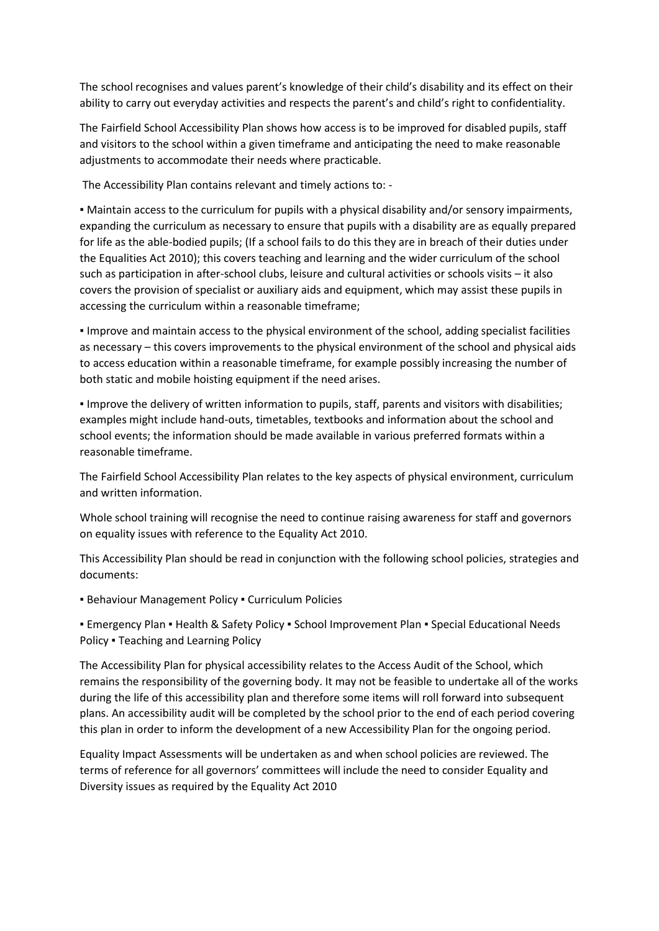The school recognises and values parent's knowledge of their child's disability and its effect on their ability to carry out everyday activities and respects the parent's and child's right to confidentiality.

The Fairfield School Accessibility Plan shows how access is to be improved for disabled pupils, staff and visitors to the school within a given timeframe and anticipating the need to make reasonable adjustments to accommodate their needs where practicable.

The Accessibility Plan contains relevant and timely actions to: -

▪ Maintain access to the curriculum for pupils with a physical disability and/or sensory impairments, expanding the curriculum as necessary to ensure that pupils with a disability are as equally prepared for life as the able-bodied pupils; (If a school fails to do this they are in breach of their duties under the Equalities Act 2010); this covers teaching and learning and the wider curriculum of the school such as participation in after-school clubs, leisure and cultural activities or schools visits – it also covers the provision of specialist or auxiliary aids and equipment, which may assist these pupils in accessing the curriculum within a reasonable timeframe;

▪ Improve and maintain access to the physical environment of the school, adding specialist facilities as necessary – this covers improvements to the physical environment of the school and physical aids to access education within a reasonable timeframe, for example possibly increasing the number of both static and mobile hoisting equipment if the need arises.

▪ Improve the delivery of written information to pupils, staff, parents and visitors with disabilities; examples might include hand-outs, timetables, textbooks and information about the school and school events; the information should be made available in various preferred formats within a reasonable timeframe.

The Fairfield School Accessibility Plan relates to the key aspects of physical environment, curriculum and written information.

Whole school training will recognise the need to continue raising awareness for staff and governors on equality issues with reference to the Equality Act 2010.

This Accessibility Plan should be read in conjunction with the following school policies, strategies and documents:

**E** Behaviour Management Policy . Curriculum Policies

■ Emergency Plan ■ Health & Safety Policy ■ School Improvement Plan ■ Special Educational Needs Policy ▪ Teaching and Learning Policy

The Accessibility Plan for physical accessibility relates to the Access Audit of the School, which remains the responsibility of the governing body. It may not be feasible to undertake all of the works during the life of this accessibility plan and therefore some items will roll forward into subsequent plans. An accessibility audit will be completed by the school prior to the end of each period covering this plan in order to inform the development of a new Accessibility Plan for the ongoing period.

Equality Impact Assessments will be undertaken as and when school policies are reviewed. The terms of reference for all governors' committees will include the need to consider Equality and Diversity issues as required by the Equality Act 2010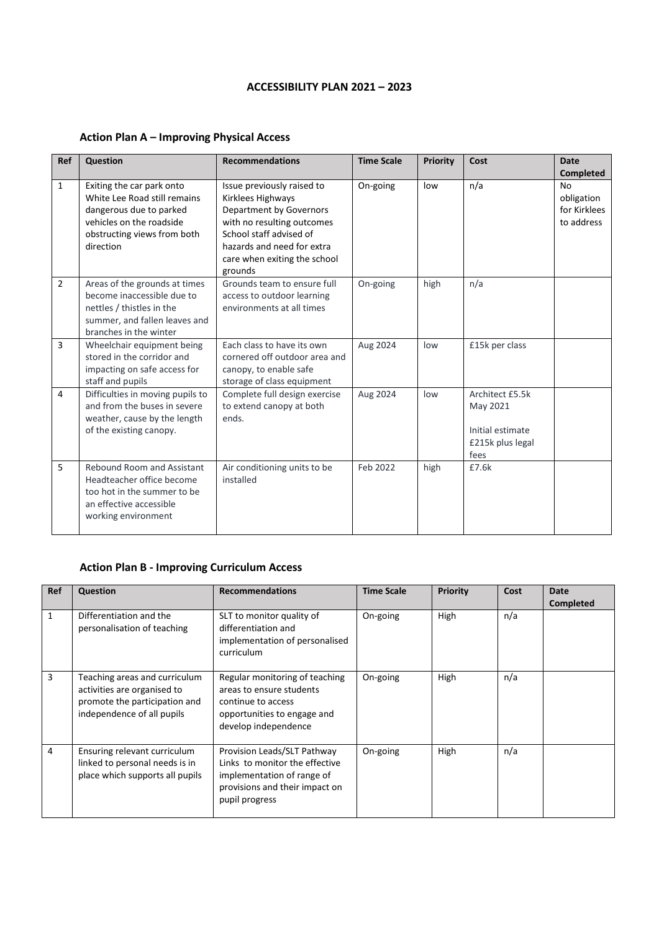#### **ACCESSIBILITY PLAN 2021 – 2023**

| Ref            | <b>Question</b>                                                                                                                                              | <b>Recommendations</b>                                                                                                                                                                                       | <b>Time Scale</b> | Priority | Cost                                                                        | <b>Date</b><br>Completed                       |
|----------------|--------------------------------------------------------------------------------------------------------------------------------------------------------------|--------------------------------------------------------------------------------------------------------------------------------------------------------------------------------------------------------------|-------------------|----------|-----------------------------------------------------------------------------|------------------------------------------------|
| $\mathbf{1}$   | Exiting the car park onto<br>White Lee Road still remains<br>dangerous due to parked<br>vehicles on the roadside<br>obstructing views from both<br>direction | Issue previously raised to<br>Kirklees Highways<br>Department by Governors<br>with no resulting outcomes<br>School staff advised of<br>hazards and need for extra<br>care when exiting the school<br>grounds | On-going          | low      | n/a                                                                         | No<br>obligation<br>for Kirklees<br>to address |
| $\overline{2}$ | Areas of the grounds at times<br>become inaccessible due to<br>nettles / thistles in the<br>summer, and fallen leaves and<br>branches in the winter          | Grounds team to ensure full<br>access to outdoor learning<br>environments at all times                                                                                                                       | On-going          | high     | n/a                                                                         |                                                |
| 3              | Wheelchair equipment being<br>stored in the corridor and<br>impacting on safe access for<br>staff and pupils                                                 | Each class to have its own<br>cornered off outdoor area and<br>canopy, to enable safe<br>storage of class equipment                                                                                          | Aug 2024          | low      | £15k per class                                                              |                                                |
| 4              | Difficulties in moving pupils to<br>and from the buses in severe<br>weather, cause by the length<br>of the existing canopy.                                  | Complete full design exercise<br>to extend canopy at both<br>ends.                                                                                                                                           | Aug 2024          | low      | Architect £5.5k<br>May 2021<br>Initial estimate<br>£215k plus legal<br>fees |                                                |
| 5              | <b>Rebound Room and Assistant</b><br>Headteacher office become<br>too hot in the summer to be<br>an effective accessible<br>working environment              | Air conditioning units to be<br>installed                                                                                                                                                                    | Feb 2022          | high     | £7.6k                                                                       |                                                |

# **Action Plan A – Improving Physical Access**

# **Action Plan B - Improving Curriculum Access**

| <b>Ref</b>   | Question                                                                                                                    | <b>Recommendations</b>                                                                                                                          | <b>Time Scale</b> | Priority | Cost | Date<br><b>Completed</b> |
|--------------|-----------------------------------------------------------------------------------------------------------------------------|-------------------------------------------------------------------------------------------------------------------------------------------------|-------------------|----------|------|--------------------------|
| $\mathbf{1}$ | Differentiation and the<br>personalisation of teaching                                                                      | SLT to monitor quality of<br>differentiation and<br>implementation of personalised<br>curriculum                                                | On-going          | High     | n/a  |                          |
| 3            | Teaching areas and curriculum<br>activities are organised to<br>promote the participation and<br>independence of all pupils | Regular monitoring of teaching<br>areas to ensure students<br>continue to access<br>opportunities to engage and<br>develop independence         | On-going          | High     | n/a  |                          |
| 4            | Ensuring relevant curriculum<br>linked to personal needs is in<br>place which supports all pupils                           | Provision Leads/SLT Pathway<br>Links to monitor the effective<br>implementation of range of<br>provisions and their impact on<br>pupil progress | On-going          | High     | n/a  |                          |